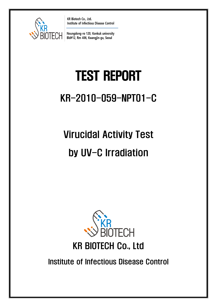

KR Biotech Co., Ltd. Institute of Infectious Disease Control

Neungdong-ro 120, Konkuk university Bld#12, Rm 406, Kwangjin-gu, Seoul

# TEST REPORT

# KR-2010-059-NPT01-C

# Virucidal Activity Test by UV-C Irradiation



# KR BIOTECH Co., Ltd

Institute of Infectious Disease Control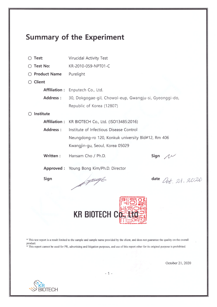### **Summary of the Experiment**

 $\bigcirc$  Test: Virucidal Activity Test

 $\bigcap$  Test No: KR-2010-059-NPT01-C

- Product Name Purelight
- $\bigcirc$  Client

Affiliation : Enputech Co., Ltd. **Address:** 30, Dokgogae-gil, Chowol-eup, Gwangju-si, Gyeonggi-do, Republic of Korea (12807)

#### $\bigcirc$  Institute

- Affiliation: KR BIOTECH Co., Ltd. (ISO13485:2016) **Address:** Institute of Infectious Disease Control Neungdong-ro 120, Konkuk university Bld#12, Rm 406 Kwangjin-gu, Seoul, Korea 05029
- Written: Hansam Cho / Ph.D.

Sign  $\Lambda$ 

Approved: Young Bong Kim/Ph.D. Director

Sign

Financie

date  $Det. 21.2020$ 



\* This test report is a result limited to the sample and sample name provided by the client, and does not guarantee the quality on the overall product. \* This report cannot be used for PR, advertising and litigation purposes, and use of this report other for its original purpose is prohibited.

October 21, 2020



 $-1-$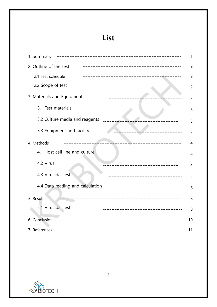## List

| 1. Summary                                                        |                |
|-------------------------------------------------------------------|----------------|
| 2. Outline of the test                                            | $\overline{2}$ |
| 2.1 Test schedule                                                 | $\overline{2}$ |
| 2.2 Scope of test                                                 | $\overline{c}$ |
| 3. Materials and Equipment                                        | 3              |
| 3.1 Test materials<br>-------------------------                   | $\overline{3}$ |
| 3.2 Culture media and reagents                                    | 3              |
| 3.3 Equipment and facility<br>______________________________      | 3              |
| 4. Methods                                                        | $\overline{4}$ |
| 4.1 Host cell line and culture<br>------------------------------- | 4              |
| 4.2 Virus<br>----------------------------------                   | $\overline{4}$ |
| 4.3 Virucidal test<br>--------------------------------------      | 5              |
| 4.4 Data reading and calculation                                  | 6              |
| 5. Results                                                        | 8              |
| 5.1 Virucidal test                                                | 8              |
| 6. Conclusion                                                     | 10             |
| 7. References                                                     | 11             |

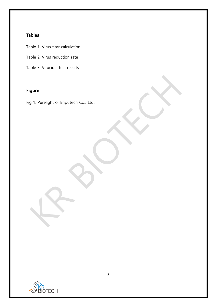#### **Tables**

Table 1. Virus titer calculation

Table 2. Virus reduction rate

Table 3. Virucidal test results

#### **Figure**

Fig 1. Purelight of Enputech Co., Ltd.

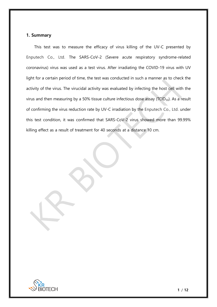#### **1. Summary**

This test was to measure the efficacy of virus killing of the UV-C presented by Enputech Co., Ltd. The SARS-CoV-2 [\(Severe acute respiratory syndrome-related](https://en.wikipedia.org/wiki/Severe_acute_respiratory_syndrome-related_coronavirus)  [coronavirus\)](https://en.wikipedia.org/wiki/Severe_acute_respiratory_syndrome-related_coronavirus) virus was used as a test virus. After irradiating the COVID-19 virus with UV light for a certain period of time, the test was conducted in such a manner as to check the activity of the virus. The virucidal activity was evaluated by infecting the host cell with the virus and then measuring by a 50% tissue culture infectious dose assay ( $TCID_{50}$ ). As a result of confirming the virus reduction rate by UV-C irradiation by the Enputech Co., Ltd. under this test condition, it was confirmed that SARS-CoV-2 virus showed more than 99.99% killing effect as a result of treatment for 40 seconds at a distance 10 cm.

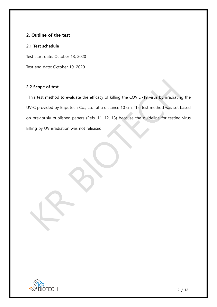#### **2. Outline of the test**

#### **2.1 Test schedule**

Test start date: October 13, 2020

Test end date: October 19, 2020

#### **2.2 Scope of test**

This test method to evaluate the efficacy of killing the COVID-19 virus by irradiating the UV-C provided by Enputech Co., Ltd. at a distance 10 cm. The test method was set based on previously published papers (Refs. 11, 12, 13) because the guideline for testing virus killing by UV irradiation was not released.

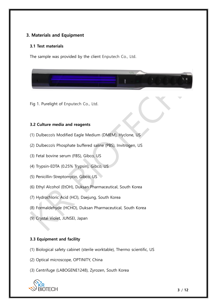#### **3. Materials and Equipment**

#### **3.1 Test materials**

The sample was provided by the client Enputech Co., Ltd.



Fig 1. Purelight of Enputech Co., Ltd.

#### **3.2 Culture media and reagents**

- (1) Dulbecco's Modified Eagle Medium (DMEM), Hyclone, US
- (2) Dulbecco's Phosphate buffered saline (PBS), Invitrogen, US
- (3) Fetal bovine serum (FBS), Gibco, US
- (4) Trypsin-EDTA (0.25% Trypsin), Gibco, US
- (5) Penicillin-Streptomycin, Gibco, US
- (6) Ethyl Alcohol (EtOH), Duksan Pharmaceutical, South Korea
- (7) Hydrochloric Acid (HCl), Daejung, South Korea
- (8) Formaldehyde (HCHO), Duksan Pharmaceutical, South Korea
- (9) Crystal Violet, JUNSEI, Japan

#### **3.3 Equipment and facility**

- (1) Biological safety cabinet (sterile worktable), Thermo scientific, US
- (2) Optical microscope, OPTINITY, China
- (3) Centrifuge (LABOGENE1248), Zyrozen, South Korea

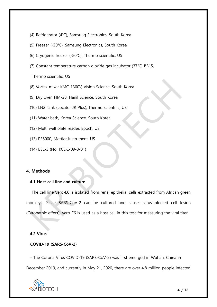- (4) Refrigerator (4℃), Samsung Electronics, South Korea
- (5) Freezer (-20℃), Samsung Electronics, South Korea
- (6) Cryogenic freezer (-80℃), Thermo scientific, US
- (7) Constant temperature carbon dioxide gas incubator (37℃) BB15,

Thermo scientific, US

- (8) Vortex mixer KMC-1300V, Vision Science, South Korea
- (9) Dry oven HM-28, Hanil Science, South Korea
- (10) LN2 Tank (Locator JR Plus), Thermo scientific, US
- (11) Water bath, Korea Science, South Korea
- (12) Multi well plate reader, Epoch, US
- (13) PE6000, Mettler Instrument, US
- (14) BSL-3 (No. KCDC-09-3-01)

#### **4. Methods**

#### **4.1 Host cell line and culture**

The cell line Vero-E6 is isolated from renal epithelial cells extracted from African green monkeys. Since SARS-CoV-2 can be cultured and causes virus-infected cell lesion (Cytopathic effect), Vero-E6 is used as a host cell in this test for measuring the viral titer.

#### **4.2 Virus**

#### **COVID-19 (SARS-CoV-2)**

- The Corona Virus COVID-19 (SARS-CoV-2) was first emerged in Wuhan, China in December 2019, and currently in May 21, 2020, there are over 4.8 million people infected

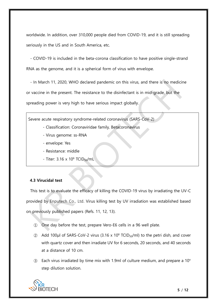worldwide. In addition, over 310,000 people died from COVID-19, and it is still spreading seriously in the US and in South America, etc.

- COVID-19 is included in the beta-corona classification to have positive single-strand RNA as the genome, and it is a spherical form of virus with envelope.

- In March 11, 2020, WHO declared pandemic on this virus, and there is no medicine or vaccine in the present. The resistance to the disinfectant is in mid-grade, but the spreading power is very high to have serious impact globally.

[Severe acute respiratory syndrome-related coronavirus](https://en.wikipedia.org/wiki/Severe_acute_respiratory_syndrome-related_coronavirus) (SARS-CoV-2)

- Classification: [Coronaviridae](https://en.wikipedia.org/wiki/Severe_acute_respiratory_syndrome-related_coronavirus) family, [Betacoronavirus](https://en.wikipedia.org/wiki/Severe_acute_respiratory_syndrome-related_coronavirus)
- Virus genome: ss-RNA
- envelope: Yes
- Resistance: middle
- Titer:  $3.16 \times 10^6$  TCID<sub>50</sub>/mL

#### **4.3 Virucidal test**

This test is to evaluate the efficacy of killing the COVID-19 virus by irradiating the UV-C provided by Enputech Co., Ltd. Virus killing test by UV irradiation was established based on previously published papers (Refs. 11, 12, 13).

- ① One day before the test, prepare Vero-E6 cells in a 96 well plate.
- $\Omega$  Add 100µl of SARS-CoV-2 virus (3.16 x 10<sup>6</sup> TCID<sub>50</sub>/ml) to the petri dish, and cover with quartz cover and then irradiate UV for 6 seconds, 20 seconds, and 40 seconds at a distance of 10 cm.
- ③ Each virus irradiated by time mix with 1.9ml of culture medium, and prepare a 10<sup>n</sup> step dilution solution.

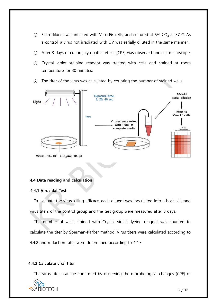- $\overline{a}$  Each diluent was infected with Vero-E6 cells, and cultured at 5% CO<sub>2</sub> at 37°C. As a control, a virus not irradiated with UV was serially diluted in the same manner.
- ⑤ After 3 days of culture, cytopathic effect (CPE) was observed under a microscope.
- ⑥ Crystal violet staining reagent was treated with cells and stained at room temperature for 30 minutes.
- ⑦ The titer of the virus was calculated by counting the number of stained wells.



#### **4.4 Data reading and calculation**

#### **4.4.1 Virucidal Test**

To evaluate the virus killing efficacy, each diluent was inoculated into a host cell, and virus titers of the control group and the test group were measured after 3 days.

The number of wells stained with Crystal violet dyeing reagent was counted to calculate the titer by Sperman-Karber method. Virus titers were calculated according to 4.4.2 and reduction rates were determined according to 4.4.3.

#### **4.4.2 Calculate viral titer**

The virus titers can be confirmed by observing the morphological changes (CPE) of

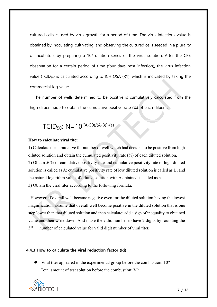cultured cells caused by virus growth for a period of time. The virus infectious value is obtained by inoculating, cultivating, and observing the cultured cells seeded in a plurality of incubators by preparing a  $10<sup>n</sup>$  dilution series of the virus solution. After the CPE observation for a certain period of time (four days post infection), the virus infection value (TCID<sub>50</sub>) is calculated according to ICH Q5A (R1), which is indicated by taking the commercial log value.

The number of wells determined to be positive is cumulatively calculated from the high diluent side to obtain the cumulative positive rate (%) of each diluent.

### TCID<sub>50</sub>:  $N=10^{[(A-50)/(A-B)]-(a)}$

#### **How to calculate viral titer**

1) Calculate the cumulative for number of well which had decided to be positive from high diluted solution and obtain the cumulated positivity rate (%) of each diluted solution. 2) Obtain 50% of cumulative positivity rate and cumulative positivity rate of high diluted solution is called as A; cumulative positivity rate of low diluted solution is called as B; and the natural logarithm value of diluted solution with A obtained is called as a. 3) Obtain the viral titer according to the following formula.

However, if overall well became negative even for the diluted solution having the lowest magnification, assume that overall well become positive in the diluted solution that is one step lower than that diluted solution and then calculate; add a sign of inequality to obtained value and then write down. And make the valid number to have 2 digits by rounding the 3 rd number of calculated value for valid digit number of viral titer.

#### **4.4.3 How to calculate the viral reduction factor (Ri)**

 $\bullet$  Viral titer appeared in the experimental group before the combustion:  $10^{\circ}$ Total amount of test solution before the combustion: V<sup>A</sup>

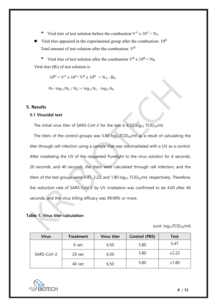- $\rightarrow$  Viral titer of test solution before the combustion V<sup>A</sup> x 10<sup>A</sup> = N<sub>A</sub>
- $\blacktriangleright$  Viral titer appeared in the experimental group after the combustion:  $10^{\text{B}}$ Total amount of test solution after the combustion:  $V^B$

 $\rightarrow$  Viral titer of test solution after the combustion V<sup>B</sup> x 10<sup>B</sup> = N<sub>B</sub> Viral titer (Ri) of test solution is

 $10^{Ri} = V^A x 10^A / V^B x 10^B = N_A / B_A$ 

 $Ri=$   $log_{10} (N_A / B_A) = log_{10} N_A - log_{10} N_B$ 

#### **5. Results**

#### **5.1 Virucidal test**

The initial virus titer of SARS-CoV-2 for the test is 6.50  $log_{10}$  TCID<sub>50</sub>/ml.

The titers of the control groups was 5.80  $log_{10}TCID_{50}/ml$  as a result of calculating the titer through cell infection using a sample that was not irradiated with a UV as a control. After irradiating the UV of the requested Purelight to the virus solution for 6 seconds, 20 seconds, and 40 seconds, the titers were calculated through cell infection, and the titers of the test groups were 5.47, 2.22, and 1.80  $log_{10}$  TCID<sub>50</sub>/ml, respectively. Therefore, the reduction rate of SARS-CoV-2 by UV irradiation was confirmed to be 4.00 after 40 seconds, and the virus killing efficacy was 99.99% or more.

#### **Table 1. Virus titer calculation**

(unit:  $log_{10}TCID_{50}/ml$ )

| <b>Virus</b> | <b>Treatment</b> | <b>Virus titer</b> | <b>Control (PBS)</b> | Test    |
|--------------|------------------|--------------------|----------------------|---------|
|              | 6 sec            | 6.50               | 5.80                 | 5.47    |
| SARS-CoV-2   | 20 sec           | 6.50               | 5.80                 | ≤2.22   |
|              | 40 sec           | 6.50               | 5.80                 | $≤1.80$ |

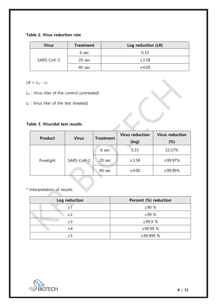**Table 2. Virus reduction rate**

| <b>Virus</b> | <b>Treatment</b> | Log reduction (LR) |
|--------------|------------------|--------------------|
| SARS-CoV-2   | 6 sec            | 0.33               |
|              | 20 sec           | $\geq 3.58$        |
|              | 40 sec           | $\geq 4.00$        |

 $LR = L_U - L_T$ 

- $L_U$  : Virus titer of the control (untreated)
- $L_T$  : Virus titer of the test (treated)

#### **Table 3. Virucidal test results**

| <b>Product</b>          | <b>Virus</b>     | <b>Treatment</b> | <b>Virus reduction</b> | <b>Virus reduction</b> |
|-------------------------|------------------|------------------|------------------------|------------------------|
|                         |                  | (log)            | $(\%)$                 |                        |
| SARS-CoV-2<br>Purelight |                  | 6 sec            | 0.33                   | 53.57%                 |
|                         | $20 \text{ sec}$ | $\geq 3.58$      | ≥99.97%                |                        |
|                         | $40 \text{ sec}$ | $\geq 4.00$      | ≥99.99%                |                        |

#### \* Interpretation of results

| Log reduction | Percent (%) reduction |
|---------------|-----------------------|
|               | >90%                  |
| $\geq$ 2      | $>99\%$               |
| $\geq$ 3      | ≥99.9 %               |
| $\geq$ 4      | ≥99.99 %              |
| >5            | ≥99.999 %             |

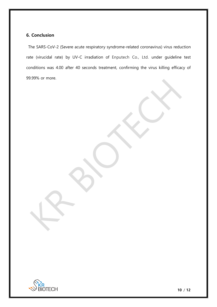#### **6. Conclusion**

The SARS-CoV-2 [\(Severe acute respiratory syndrome-related coronavirus\)](https://en.wikipedia.org/wiki/Severe_acute_respiratory_syndrome-related_coronavirus) virus reduction rate (virucidal rate) by UV-C irradiation of Enputech Co., Ltd. under guideline test conditions was 4.00 after 40 seconds treatment, confirming the virus killing efficacy of 99.99% or more.



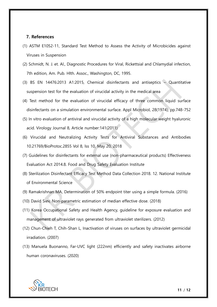#### **7. References**

- (1) ASTM E1052-11, Standard Test Method to Assess the Activity of Microbicides against Viruses in Suspension
- (2) Schmidt, N. J. et. Al., Diagnostic Procedures for Viral, Rickettsial and Chlamydial infection, 7th edition, Am. Pub. Hlth. Assoc., Washington, DC, 1995.
- (3) BS EN 14476:2013 A1:2015, Chemical disinfectants and antiseptics Quantitative suspension test for the evaluation of virucidal activity in the medical area
- (4) Test method for the evaluation of virucidal efficacy of three common liquid surface disinfectants on a simulation environmental surface. Appl Microbiol, 28(1974), pp.748-752
- (5) In vitro evaluation of antiviral and virucidal activity of a high molecular weight hyaluronic acid. Virology Journal 8, Article number:141(2011)
- (6) Virucidal and Neutralizing Activity Tests for Antiviral Substances and Antibodies 10.21769/BioProtoc.2855 Vol 8, lss 10, May 20, 2018
- (7) Guidelines for disinfectants for external use (non-pharmaceutical products) Effectiveness Evaluation Act 2014.8. Food and Drug Safety Evaluation Institute
- (8) Sterilization Disinfectant Efficacy Test Method Data Collection 2018. 12. National Institute of Environmental Science
- (9) Ramakrishnan MA, Determination of 50% endpoint titer using a simple formula. (2016)
- (10) David Siev, Non-parametric estimation of median effective dose. (2018)
- (11) Korea Occupational Safety and Health Agency, guideline for exposure evaluation and management of ultraviolet rays generated from ultraviolet sterilizers. (2012)
- (12) Chun-Chieh T, Chih-Shan L, Inactivation of viruses on surfaces by ultraviolet germicidal irradiation. (2007)
- (13) Manuela Buonanno, Far-UVC light (222nm) efficiently and safety inactivates airborne human coronaviruses. (2020)